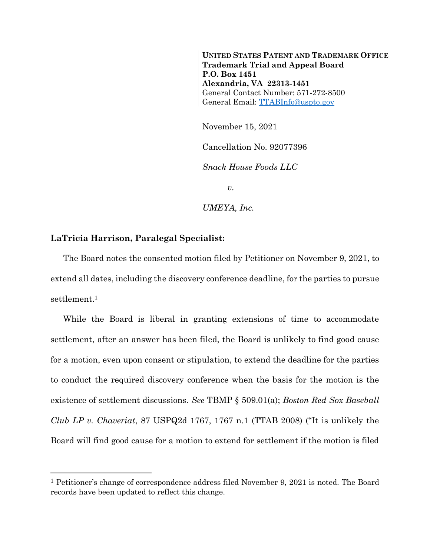**UNITED STATES PATENT AND TRADEMARK OFFICE Trademark Trial and Appeal Board P.O. Box 1451 Alexandria, VA 22313-1451** General Contact Number: 571-272-8500 General Email: [TTABInfo@uspto.gov](mailto:TTABInfo@uspto.gov)

November 15, 2021

Cancellation No. 92077396

*Snack House Foods LLC*

*v.*

*UMEYA, Inc.*

## **LaTricia Harrison, Paralegal Specialist:**

l

The Board notes the consented motion filed by Petitioner on November 9, 2021, to extend all dates, including the discovery conference deadline, for the parties to pursue settlement.<sup>1</sup>

While the Board is liberal in granting extensions of time to accommodate settlement, after an answer has been filed, the Board is unlikely to find good cause for a motion, even upon consent or stipulation, to extend the deadline for the parties to conduct the required discovery conference when the basis for the motion is the existence of settlement discussions. *See* TBMP § 509.01(a); *Boston Red Sox Baseball Club LP v. Chaveriat*, 87 USPQ2d 1767, 1767 n.1 (TTAB 2008) ("It is unlikely the Board will find good cause for a motion to extend for settlement if the motion is filed

<sup>1</sup> Petitioner's change of correspondence address filed November 9, 2021 is noted. The Board records have been updated to reflect this change.